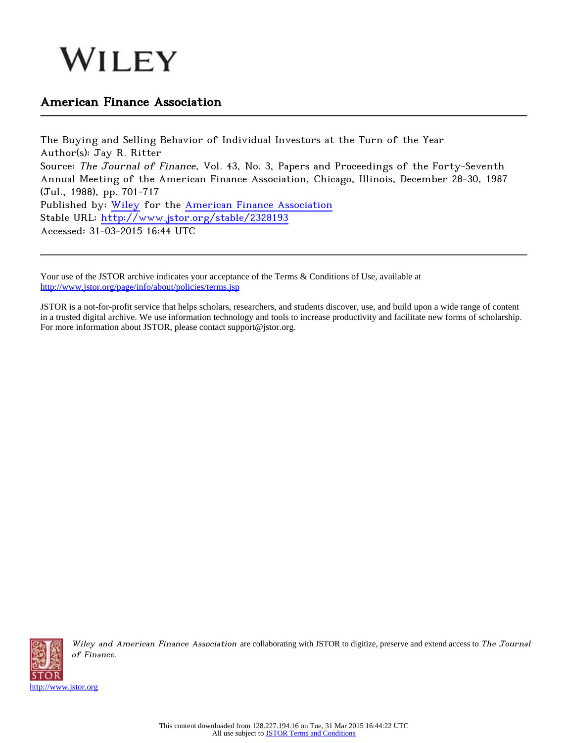# WILEY

## American Finance Association

The Buying and Selling Behavior of Individual Investors at the Turn of the Year Author(s): Jay R. Ritter Source: The Journal of Finance, Vol. 43, No. 3, Papers and Proceedings of the Forty-Seventh Annual Meeting of the American Finance Association, Chicago, Illinois, December 28-30, 1987 (Jul., 1988), pp. 701-717 Published by: [Wiley](http://www.jstor.org/action/showPublisher?publisherCode=black) for the [American Finance Association](http://www.jstor.org/action/showPublisher?publisherCode=afina) Stable URL: <http://www.jstor.org/stable/2328193> Accessed: 31-03-2015 16:44 UTC

Your use of the JSTOR archive indicates your acceptance of the Terms & Conditions of Use, available at <http://www.jstor.org/page/info/about/policies/terms.jsp>

JSTOR is a not-for-profit service that helps scholars, researchers, and students discover, use, and build upon a wide range of content in a trusted digital archive. We use information technology and tools to increase productivity and facilitate new forms of scholarship. For more information about JSTOR, please contact support@jstor.org.



Wiley and American Finance Association are collaborating with JSTOR to digitize, preserve and extend access to The Journal of Finance.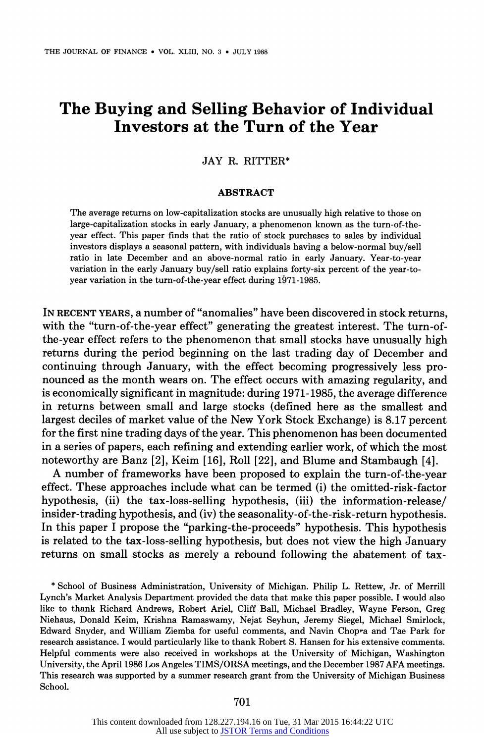## **The Buying and Selling Behavior of Individual Investors at the Turn of the Year**

#### **JAY R. RITTER\***

#### **ABSTRACT**

**The average returns on low-capitalization stocks are unusually high relative to those on large-capitalization stocks in early January, a phenomenon known as the turn-of-theyear effect. This paper finds that the ratio of stock purchases to sales by individual investors displays a seasonal pattern, with individuals having a below-normal buy/sell ratio in late December and an above-normal ratio in early January. Year-to-year variation in the early January buy/sell ratio explains forty-six percent of the year-toyear variation in the turn-of-the-year effect during 1971-1985.** 

**IN RECENT YEARS, a number of "anomalies" have been discovered in stock returns, with the "turn-of-the-year effect" generating the greatest interest. The turn-ofthe-year effect refers to the phenomenon that small stocks have unusually high returns during the period beginning on the last trading day of December and continuing through January, with the effect becoming progressively less pronounced as the month wears on. The effect occurs with amazing regularity, and is economically significant in magnitude: during 1971-1985, the average difference in returns between small and large stocks (defined here as the smallest and largest deciles of market value of the New York Stock Exchange) is 8.17 percent for the first nine trading days of the year. This phenomenon has been documented in a series of papers, each refining and extending earlier work, of which the most noteworthy are Banz [2], Keim [16], Roll [22], and Blume and Stambaugh [4].** 

**A number of frameworks have been proposed to explain the turn-of-the-year effect. These approaches include what can be termed (i) the omitted-risk-factor hypothesis, (ii) the tax-loss-selling hypothesis, (iii) the information-release/ insider-trading hypothesis, and (iv) the seasonality-of-the-risk-return hypothesis. In this paper I propose the "parking-the-proceeds" hypothesis. This hypothesis is related to the tax-loss-selling hypothesis, but does not view the high January returns on small stocks as merely a rebound following the abatement of tax-** 

**\* School of Business Administration, University of Michigan. Philip L. Rettew, Jr. of Merrill Lynch's Market Analysis Department provided the data that make this paper possible. I would also like to thank Richard Andrews, Robert Ariel, Cliff Ball, Michael Bradley, Wayne Ferson, Greg Niehaus, Donald Keim, Krishna Ramaswamy, Nejat Seyhun, Jeremy Siegel, Michael Smirlock, Edward Snyder, and William Ziemba for useful comments, and Navin Chop-a and Tae Park for research assistance. I would particularly like to thank Robert S. Hansen for his extensive comments. Helpful comments were also received in workshops at the University of Michigan, Washington University, the April 1986 Los Angeles TIMS/ORSA meetings, and the December 1987 AFA meetings. This research was supported by a summer research grant from the University of Michigan Business School.**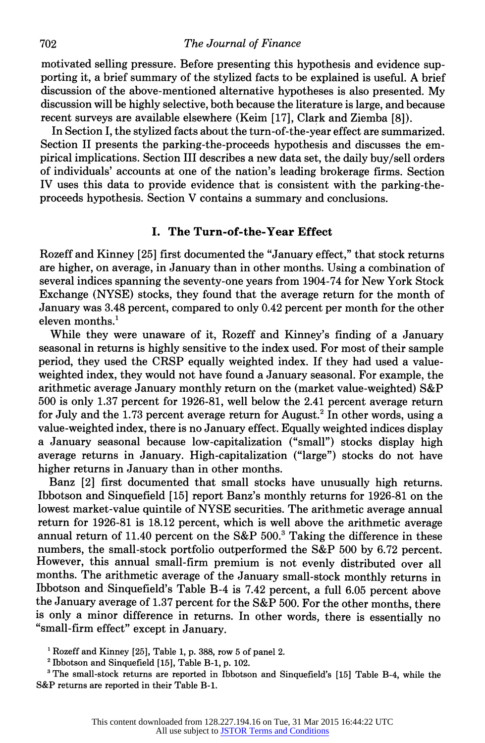**motivated selling pressure. Before presenting this hypothesis and evidence supporting it, a brief summary of the stylized facts to be explained is useful. A brief discussion of the above-mentioned alternative hypotheses is also presented. My discussion will be highly selective, both because the literature is large, and because recent surveys are available elsewhere (Keim [17], Clark and Ziemba [8]).** 

**In Section I, the stylized facts about the turn-of-the-year effect are summarized. Section II presents the parking-the-proceeds hypothesis and discusses the empirical implications. Section III describes a new data set, the daily buy/sell orders of individuals' accounts at one of the nation's leading brokerage firms. Section IV uses this data to provide evidence that is consistent with the parking-theproceeds hypothesis. Section V contains a summary and conclusions.** 

#### **I. The Turn-of-the-Year Effect**

**Rozeff and Kinney [25] first documented the "January effect," that stock returns are higher, on average, in January than in other months. Using a combination of several indices spanning the seventy-one years from 1904-74 for New York Stock Exchange (NYSE) stocks, they found that the average return for the month of January was 3.48 percent, compared to only 0.42 percent per month for the other eleven months.'** 

**While they were unaware of it, Rozeff and Kinney's finding of a January seasonal in returns is highly sensitive to the index used. For most of their sample period, they used the CRSP equally weighted index. If they had used a valueweighted index, they would not have found a January seasonal. For example, the arithmetic average January monthly return on the (market value-weighted) S&P 500 is only 1.37 percent for 1926-81, well below the 2.41 percent average return for July and the 1.73 percent average return for August.2 In other words, using a value-weighted index, there is no January effect. Equally weighted indices display a January seasonal because low-capitalization ("small") stocks display high average returns in January. High-capitalization ("large") stocks do not have higher returns in January than in other months.** 

**Banz [2] first documented that small stocks have unusually high returns. Ibbotson and Sinquefield [15] report Banz's monthly returns for 1926-81 on the lowest market-value quintile of NYSE securities. The arithmetic average annual return for 1926-81 is 18.12 percent, which is well above the arithmetic average annual return of 11.40 percent on the S&P 500.3 Taking the difference in these numbers, the small-stock portfolio outperformed the S&P 500 by 6.72 percent. However, this annual small-firm premium is not evenly distributed over all months. The arithmetic average of the January small-stock monthly returns in**  Ibbotson and Sinquefield's Table B-4 is 7.42 percent, a full 6.05 percent above **the January average of 1.37 percent for the S&P 500. For the other months, there is only a minor difference in returns. In other words, there is essentially no "small-firm effect" except in January.** 

**'Rozeff and Kinney [25], Table 1, p. 388, row 5 of panel 2.** 

**<sup>2</sup>Ibbotson and Sinquefield [15], Table B-1, p. 102.** 

**3The small-stock returns are reported in Ibbotson and Sinquefield's [15] Table B-4, while the S&P returns are reported in their Table B-1.**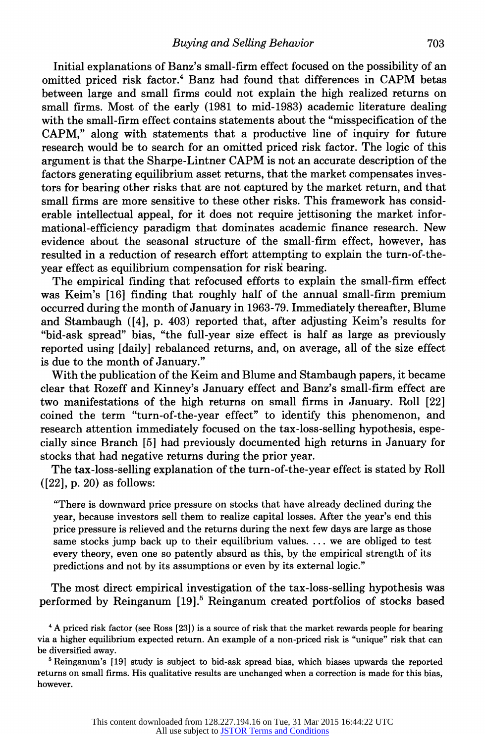**Initial explanations of Banz's small-firm effect focused on the possibility of an omitted priced risk factor.' Banz had found that differences in CAPM betas between large and small firms could not explain the high realized returns on small firms. Most of the early (1981 to mid-1983) academic literature dealing with the small-firm effect contains statements about the "misspecification of the CAPM," along with statements that a productive line of inquiry for future research would be to search for an omitted priced risk factor. The logic of this argument is that the Sharpe-Lintner CAPM is not an accurate description of the factors generating equilibrium asset returns, that the market compensates investors for bearing other risks that are not captured by the market return, and that small firms are more sensitive to these other risks. This framework has considerable intellectual appeal, for it does not require jettisoning the market informational-efficiency paradigm that dominates academic finance research. New evidence about the seasonal structure of the small-firm effect, however, has resulted in a reduction of research effort attempting to explain the turn-of-theyear effect as equilibrium compensation for risk bearing.** 

**The empirical finding that refocused efforts to explain the small-firm effect was Keim's [16] finding that roughly half of the annual small-firm premium occurred during the month of January in 1963-79. Immediately thereafter, Blume and Stambaugh ([4], p. 403) reported that, after adjusting Keim's results for "bid-ask spread" bias, "the full-year size effect is half as large as previously reported using [daily] rebalanced returns, and, on average, all of the size effect is due to the month of January."** 

**With the publication of the Keim and Blume and Stambaugh papers, it became clear that Rozeff and Kinney's January effect and Banz's small-firm effect are two manifestations of the high returns on small firms in January. Roll [22] coined the term "turn-of-the-year effect" to identify this phenomenon, and research attention immediately focused on the tax-loss-selling hypothesis, especially since Branch [5] had previously documented high returns in January for stocks that had negative returns during the prior year.** 

**The tax-loss-selling explanation of the turn-of-the-year effect is stated by Roll ([22], p. 20) as follows:** 

**"There is downward price pressure on stocks that have already declined during the year, because investors sell them to realize capital losses. After the year's end this price pressure is relieved and the returns during the next few days are large as those same stocks jump back up to their equilibrium values. ... we are obliged to test every theory, even one so patently absurd as this, by the empirical strength of its predictions and not by its assumptions or even by its external logic."** 

**The most direct empirical investigation of the tax-loss-selling hypothesis was performed by Reinganum [19].5 Reinganum created portfolios of stocks based** 

**4A priced risk factor (see Ross [231) is a source of risk that the market rewards people for bearing via a higher equilibrium expected return. An example of a non-priced risk is "unique" risk that can be diversified away.** 

<sup>5</sup> Reinganum's [19] study is subject to bid-ask spread bias, which biases upwards the reported **returns on small firms. His qualitative results are unchanged when a correction is made for this bias, however.**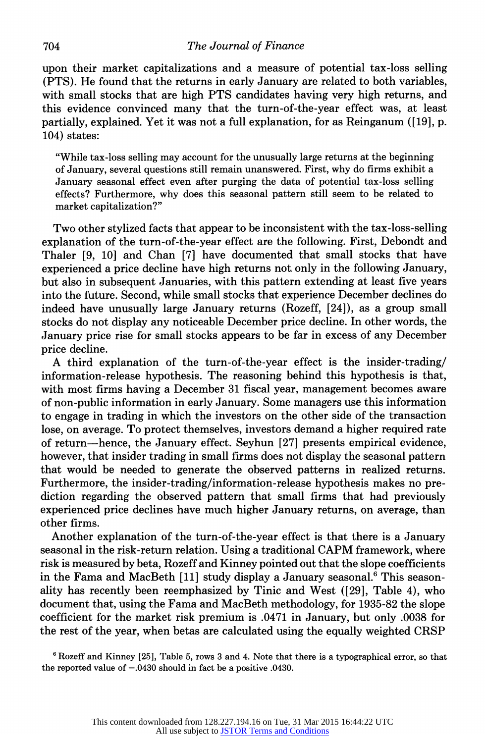**upon their market capitalizations and a measure of potential tax-loss selling (PTS). He found that the returns in early January are related to both variables, with small stocks that are high PTS candidates having very high returns, and this evidence convinced many that the turn-of-the-year effect was, at least partially, explained. Yet it was not a full explanation, for as Reinganum ([19], p. 104) states:** 

**"While tax-loss selling may account for the unusually large returns at the beginning of January, several questions still remain unanswered. First, why do firms exhibit a January seasonal effect even after purging the data of potential tax-loss selling effects? Furthermore, why does this seasonal pattern still seem to be related to market capitalization?"** 

**Two other stylized facts that appear to be inconsistent with the tax-loss-selling explanation of the turn-of-the-year effect are the following. First, Debondt and Thaler [9, 10] and Chan [7] have documented that small stocks that have experienced a price decline have high returns not only in the following January, but also in subsequent Januaries, with this pattern extending at least five years into the future. Second, while small stocks that experience December declines do indeed have unusually large January returns (Rozeff, [24]), as a group small stocks do not display any noticeable December price decline. In other words, the January price rise for small stocks appears to be far in excess of any December price decline.** 

**A third explanation of the turn-of-the-year effect is the insider-trading/ information-release hypothesis. The reasoning behind this hypothesis is that, with most firms having a December 31 fiscal year, management becomes aware of non-public information in early January. Some managers use this information to engage in trading in which the investors on the other side of the transaction lose, on average. To protect themselves, investors demand a higher required rate of return-hence, the January effect. Seyhun [27] presents empirical evidence, however, that insider trading in small firms does not display the seasonal pattern that would be needed to generate the observed patterns in realized returns. Furthermore, the insider-trading/information-release hypothesis makes no prediction regarding the observed pattern that small firms that had previously experienced price declines have much higher January returns, on average, than other firms.** 

**Another explanation of the turn-of-the-year effect is that there is a January seasonal in the risk-return relation. Using a traditional CAPM framework, where risk is measured by beta, Rozeff and Kinney pointed out that the slope coefficients in the Fama and MacBeth [11] study display a January seasonal.6 This seasonality has recently been reemphasized by Tinic and West ([29], Table 4), who document that, using the Fama and MacBeth methodology, for 1935-82 the slope coefficient for the market risk premium is .0471 in January, but only .0038 for the rest of the year, when betas are calculated using the equally weighted CRSP** 

**6 Rozeff and Kinney [25], Table 5, rows 3 and 4. Note that there is a typographical error, so that the reported value of -.0430 should in fact be a positive .0430.**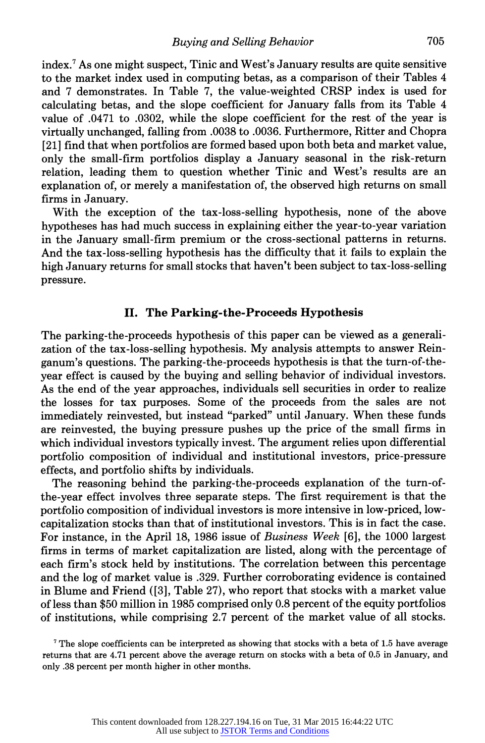**index.7 As one might suspect, Tinic and West's January results are quite sensitive to the market index used in computing betas, as a comparison of their Tables 4 and 7 demonstrates. In Table 7, the value-weighted CRSP index is used for calculating betas, and the slope coefficient for January falls from its Table 4 value of .0471 to .0302, while the slope coefficient for the rest of the year is virtually unchanged, falling from .0038 to .0036. Furthermore, Ritter and Chopra [21] find that when portfolios are formed based upon both beta and market value, only the small-firm portfolios display a January seasonal in the risk-return relation, leading them to question whether Tinic and West's results are an explanation of, or merely a manifestation of, the observed high returns on small firms in January.** 

**With the exception of the tax-loss-selling hypothesis, none of the above hypotheses has had much success in explaining either the year-to-year variation in the January small-firm premium or the cross-sectional patterns in returns. And the tax-loss-selling hypothesis has the difficulty that it fails to explain the high January returns for small stocks that haven't been subject to tax-loss-selling pressure.** 

### **II. The Parking-the-Proceeds Hypothesis**

**The parking-the-proceeds hypothesis of this paper can be viewed as a generalization of the tax-loss-selling hypothesis. My analysis attempts to answer Reinganum's questions. The parking-the-proceeds hypothesis is that the turn-of-theyear effect is caused by the buying and selling behavior of individual investors. As the end of the year approaches, individuals sell securities in order to realize the losses for tax purposes. Some of the proceeds from the sales are not immediately reinvested, but instead "parked" until January. When these funds are reinvested, the buying pressure pushes up the price of the small firms in which individual investors typically invest. The argument relies upon differential portfolio composition of individual and institutional investors, price-pressure effects, and portfolio shifts by individuals.** 

**The reasoning behind the parking-the-proceeds explanation of the turn-ofthe-year effect involves three separate steps. The first requirement is that the portfolio composition of individual investors is more intensive in low-priced, lowcapitalization stocks than that of institutional investors. This is in fact the case. For instance, in the April 18, 1986 issue of Business Week [6], the 1000 largest firms in terms of market capitalization are listed, along with the percentage of each firm's stock held by institutions. The correlation between this percentage and the log of market value is .329. Further corroborating evidence is contained in Blume and Friend ([3], Table 27), who report that stocks with a market value of less than \$50 million in 1985 comprised only 0.8 percent of the equity portfolios of institutions, while comprising 2.7 percent of the market value of all stocks.** 

**<sup>&#</sup>x27;The slope coefficients can be interpreted as showing that stocks with a beta of 1.5 have average returns that are 4.71 percent above the average return on stocks with a beta of 0.5 in January, and only .38 percent per month higher in other months.**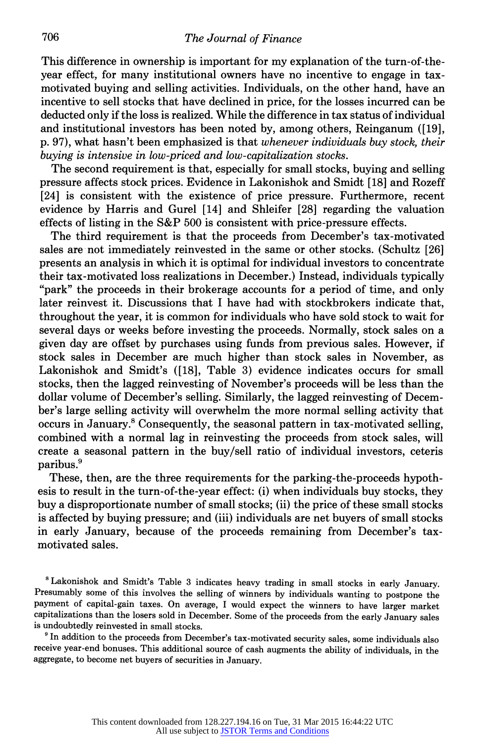**This difference in ownership is important for my explanation of the turn-of-theyear effect, for many institutional owners have no incentive to engage in taxmotivated buying and selling activities. Individuals, on the other hand, have an incentive to sell stocks that have declined in price, for the losses incurred can be deducted only if the loss is realized. While the difference in tax status of individual and institutional investors has been noted by, among others, Reinganum ([19], p. 97), what hasn't been emphasized is that whenever individuals buy stock, their buying is intensive in low-priced and low-capitalization stocks.** 

**The second requirement is that, especially for small stocks, buying and selling pressure affects stock prices. Evidence in Lakonishok and Smidt [18] and Rozeff [24] is consistent with the existence of price pressure. Furthermore, recent evidence by Harris and Gurel [14] and Shleifer [28] regarding the valuation effects of listing in the S&P 500 is consistent with price-pressure effects.** 

**The third requirement is that the proceeds from December's tax-motivated sales are-not immediately reinvested in the same or other stocks. (Schultz [26] presents an analysis in which it is optimal for individual investors to concentrate their tax-motivated loss realizations in December.) Instead, individuals typically "park" the proceeds in their brokerage accounts for a period of time, and only later reinvest it. Discussions that I have had with stockbrokers indicate that, throughout the year, it is common for individuals who have sold stock to wait for several days or weeks before investing the proceeds. Normally, stock sales on a given day are offset by purchases using funds from previous sales. However, if stock sales in December are much higher than stock sales in November, as Lakonishok and Smidt's ([18], Table 3) evidence indicates occurs for small stocks, then the lagged reinvesting of November's proceeds will be less than the dollar volume of December's selling. Similarly, the lagged reinvesting of December's large selling activity will overwhelm the more normal selling activity that occurs in January.8 Consequently, the seasonal pattern in tax-motivated selling, combined with a normal lag in reinvesting the proceeds from stock sales, will create a seasonal pattern in the buy/sell ratio of individual investors, ceteris paribus.9** 

**These, then, are the three requirements for the parking-the-proceeds hypothesis to result in the turn-of-the-year effect: (i) when individuals buy stocks, they buy a disproportionate number of small stocks; (ii) the price of these small stocks is affected by buying pressure; and (iii) individuals are net buyers of small stocks in early January, because of the proceeds remaining from December's taxmotivated sales.** 

**8Lakonishok and Smidt's Table 3 indicates heavy trading in small stocks in early January. Presumably some of this involves the selling of winners by individuals wanting to postpone the payment of capital-gain taxes. On average, I would expect the winners to have larger market capitalizations than the losers sold in December. Some of the proceeds from the early January sales is undoubtedly reinvested in small stocks.** 

**'In addition to the proceeds from December's tax-motivated security sales, some individuals also receive year-end bonuses. This additional source of cash augments the ability of individuals, in the aggregate, to become net buyers of securities in January.**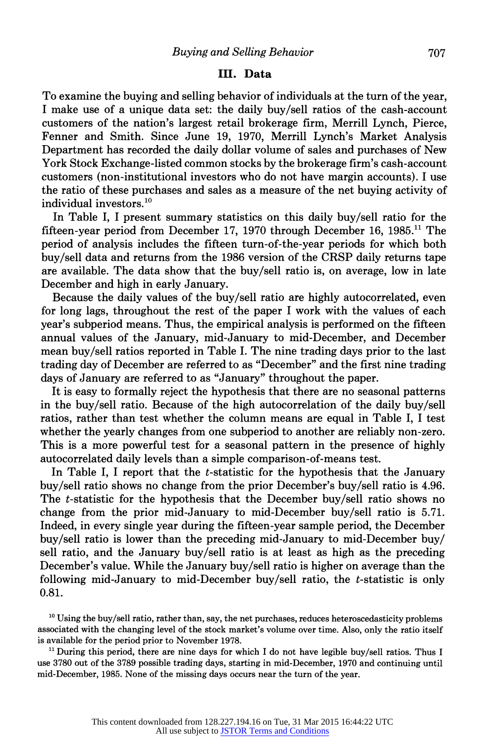#### **III. Data**

**To examine the buying and selling behavior of individuals at the turn of the year, I make use of a unique data set: the daily buy/sell ratios of the cash-account customers of the nation's largest retail brokerage firm, Merrill Lynch, Pierce, Fenner and Smith. Since June 19, 1970, Merrill Lynch's Market Analysis Department has recorded the daily dollar volume of sales and purchases of New York Stock Exchange-listed common stocks by the brokerage firm's cash-account customers (non-institutional investors who do not have margin accounts). I use the ratio of these purchases and sales as a measure of the net buying activity of individual investors.10** 

**In Table I, I present summary statistics on this daily buy/sell ratio for the fifteen-year period from December 17, 1970 through December 16, 1985.11 The period of analysis includes the fifteen turn-of-the-year periods for which both buy/sell data and returns from the 1986 version of the CRSP daily returns tape are available. The data show that the buy/sell ratio is, on average, low in late December and high in early January.** 

**Because the daily values of the buy/sell ratio are highly autocorrelated, even for long lags, throughout the rest of the paper I work with the values of each year's subperiod means. Thus, the empirical analysis is performed on the fifteen annual values of the January, mid-January to mid-December, and December mean buy/sell ratios reported in Table I. The nine trading days prior to the last trading day of December are referred to as "December" and the first nine trading days of January are referred to as "January" throughout the paper.** 

**It is easy to formally reject the hypothesis that there are no seasonal patterns in the buy/sell ratio. Because of the high autocorrelation of the daily buy/sell ratios, rather than test whether the column means are equal in Table I, I test whether the yearly changes from one subperiod to another are reliably non-zero. This is a more powerful test for a seasonal pattern in the presence of highly autocorrelated daily levels than a simple comparison-of-means test.** 

**In Table I, I report that the t-statistic for the hypothesis that the January buy/sell ratio shows no change from the prior December's buy/sell ratio is 4.96. The t-statistic for the hypothesis that the December buy/sell ratio shows no change from the prior mid-January to mid-December buy/sell ratio is 5.71. Indeed, in every single year during the fifteen-year sample period, the December buy/sell ratio is lower than the preceding mid-January to mid-December buy/ sell ratio, and the January buy/sell ratio is at least as high as the preceding December's value. While the January buy/sell ratio is higher on average than the following mid-January to mid-December buy/sell ratio, the t-statistic is only 0.81.** 

**10 Using the buy/sell ratio, rather than, say, the net purchases, reduces heteroscedasticity problems associated with the changing level of the stock market's volume over time. Also, only the ratio itself is available for the period prior to November 1978.** 

**" During this period, there are nine days for which I do not have legible buy/sell ratios. Thus I use 3780 out of the 3789 possible trading days, starting in mid-December, 1970 and continuing until mid-December, 1985. None of the missing days occurs near the turn of the year.**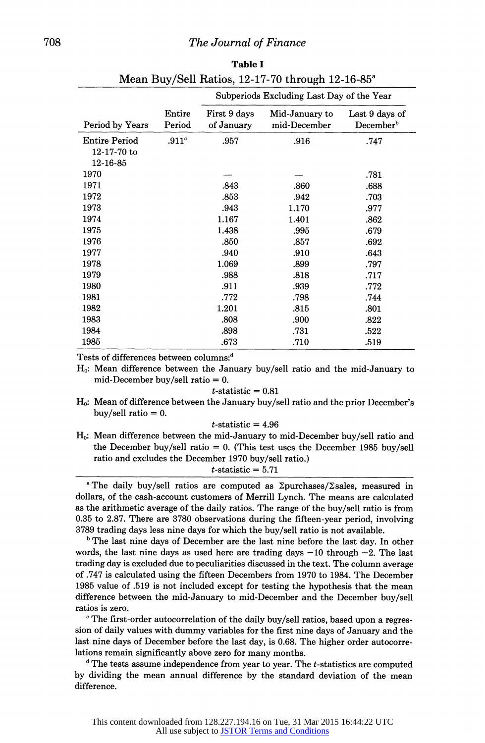|                      |                   | Subperiods Excluding Last Day of the Year |                                |                                         |
|----------------------|-------------------|-------------------------------------------|--------------------------------|-----------------------------------------|
| Period by Years      | Entire<br>Period  | First 9 days<br>of January                | Mid-January to<br>mid-December | Last 9 days of<br>December <sup>b</sup> |
| <b>Entire Period</b> | .911 <sup>c</sup> | .957                                      | .916                           | .747                                    |
| 12-17-70 to          |                   |                                           |                                |                                         |
| 12-16-85             |                   |                                           |                                |                                         |
| 1970                 |                   |                                           |                                | .781                                    |
| 1971                 |                   | .843                                      | .860                           | .688                                    |
| 1972                 |                   | .853                                      | .942                           | .703                                    |
| 1973                 |                   | .943                                      | 1.170                          | .977                                    |
| 1974                 |                   | 1.167                                     | 1.401                          | .862                                    |
| 1975                 |                   | 1.438                                     | .995                           | .679                                    |
| 1976                 |                   | .850                                      | .857                           | .692                                    |
| 1977                 |                   | .940                                      | .910                           | .643                                    |
| 1978                 |                   | 1.069                                     | .899                           | .797                                    |
| 1979                 |                   | .988                                      | .818                           | .717                                    |
| 1980                 |                   | .911                                      | .939                           | .772                                    |
| 1981                 |                   | .772                                      | .798                           | .744                                    |
| 1982                 |                   | 1.201                                     | .815                           | .801                                    |
| 1983                 |                   | .808                                      | .900                           | .822                                    |
| 1984                 |                   | .898                                      | .731                           | .522                                    |
| 1985                 |                   | .673                                      | .710                           | .519                                    |

| Table I                                                      |
|--------------------------------------------------------------|
| Mean Buy/Sell Ratios, 12-17-70 through 12-16-85 <sup>a</sup> |

**Tests of differences between columns:d** 

**Ho: Mean difference between the January buy/sell ratio and the mid-January to mid-December buy/sell ratio = 0.** 

#### **t-statistic = 0.81**

**Ho: Mean of difference between the January buy/sell ratio and the prior December's buy/sell ratio = 0.** 

#### **t-statistic = 4.96**

**Ho: Mean difference between the mid-January to mid-December buy/sell ratio and the December buy/sell ratio = 0. (This test uses the December 1985 buy/sell ratio and excludes the December 1970 buy/sell ratio.)** 

**t-statistic = 5.71** 

<sup>a</sup> The daily buy/sell ratios are computed as  $\Sigma$ purchases/ $\Sigma$ sales, measured in **dollars, of the cash-account customers of Merrill Lynch. The means are calculated as the arithmetic average of the daily ratios. The range of the buy/sell ratio is from 0.35 to 2.87. There are 3780 observations during the fifteen-year period, involving 3789 trading days less nine days for which the buy/sell ratio is not available.** 

**<sup>b</sup>The last nine days of December are the last nine before the last day. In other**  words, the last nine days as used here are trading days  $-10$  through  $-2$ . The last **trading day is excluded due to peculiarities discussed in the text. The column average of .747 is calculated using the fifteen Decembers from 1970 to 1984. The December 1985 value of .519 is not included except for testing the hypothesis that the mean difference between the mid-January to mid-December and the December buy/sell ratios is zero.** 

**c The first-order autocorrelation of the daily buy/sell ratios, based upon a regression of daily values with dummy variables for the first nine days of January and the last nine days of December before the last day, is 0.68. The higher order autocorrelations remain significantly above zero for many months.** 

**<sup>d</sup>The tests assume independence from year to year. The t-statistics are computed by dividing the mean annual difference by the standard deviation of the mean difference.**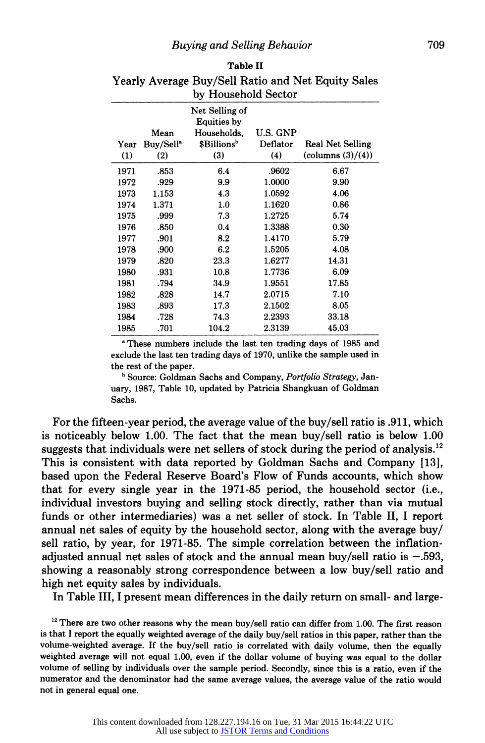#### **Table II**

| by Household Sector |                       |                                                     |          |                            |  |
|---------------------|-----------------------|-----------------------------------------------------|----------|----------------------------|--|
|                     | Mean                  | Net Selling of<br><b>Equities by</b><br>Households, | U.S. GNP |                            |  |
| Year                | Buy/Sell <sup>a</sup> | \$Billions <sup>b</sup>                             | Deflator | Real Net Selling           |  |
| (1)                 | (2)                   | (3)                                                 | (4)      | $\text{(columns (3)/(4))}$ |  |
| 1971                | .853                  | 6.4                                                 | .9602    | 6.67                       |  |
| 1972                | .929                  | 9.9                                                 | 1.0000   | 9.90                       |  |
| 1973                | 1.153                 | 4.3                                                 | 1.0592   | 4.06                       |  |
| 1974                | 1.371                 | 1.0                                                 | 1.1620   | 0.86                       |  |
| 1975                | .999                  | 7.3                                                 | 1.2725   | 5.74                       |  |
| 1976                | .850                  | 0.4                                                 | 1.3388   | 0.30                       |  |
| 1977                | .901                  | 8.2                                                 | 1.4170   | 5.79                       |  |
| 1978                | .900                  | 6.2                                                 | 1.5205   | 4.08                       |  |
| 1979                | .820                  | 23.3                                                | 1.6277   | 14.31                      |  |
| 1980                | .931                  | 10.8                                                | 1.7736   | 6.09                       |  |
| 1981                | .794                  | 34.9                                                | 1.9551   | 17.85                      |  |
| 1982                | .828                  | 14.7                                                | 2.0715   | 7.10                       |  |
| 1983                | .893                  | 17.3                                                | 2.1502   | 8.05                       |  |
| 1984                | .728                  | 74.3                                                | 2.2393   | 33.18                      |  |
| 1985                | .701                  | 104.2                                               | 2.3139   | 45.03                      |  |

| Yearly Average Buy/Sell Ratio and Net Equity Sales |
|----------------------------------------------------|
| by Household Sector                                |

**a These numbers include the last ten trading days of 1985 and exclude the last ten trading days of 1970, unlike the sample used in the rest of the paper.** 

**b Source: Goldman Sachs and Company, Portfolio Strategy, January, 1987, Table 10, updated by Patricia Shangkuan of Goldman Sachs.** 

**For the fifteen-year period, the average value of the buy/sell ratio is .911, which is noticeably below 1.00. The fact that the mean buy/sell ratio is below 1.00 suggests that individuals were net sellers of stock during the period of analysis.12 This is consistent with data reported by Goldman Sachs and Company [13], based upon the Federal Reserve Board's Flow of Funds accounts, which show that for every single year in the 1971-85 period, the household sector (i.e., individual investors buying and selling stock directly, rather than via mutual funds or other intermediaries) was a net seller of stock. In Table II, I report annual net sales of equity by the household sector, along with the average buy/ sell ratio, by year, for 1971-85. The simple correlation between the inflationadjusted annual net sales of stock and the annual mean buy/sell ratio is -.593, showing a reasonably strong correspondence between a low buy/sell ratio and high net equity sales by individuals.** 

**In Table III, I present mean differences in the daily return on small- and large-**

<sup>12</sup> There are two other reasons why the mean buy/sell ratio can differ from 1.00. The first reason **is that I report the equally weighted average of the daily buy/sell ratios in this paper, rather than the volume-weighted average. If the buy/sell ratio is correlated with daily volume, then the equally weighted average will not equal 1.00, even if the dollar volume of buying was equal to the dollar volume of selling by individuals over the sample period. Secondly, since this is a ratio, even if the numerator and the denominator had the same average values, the average value of the ratio would not in general equal one.**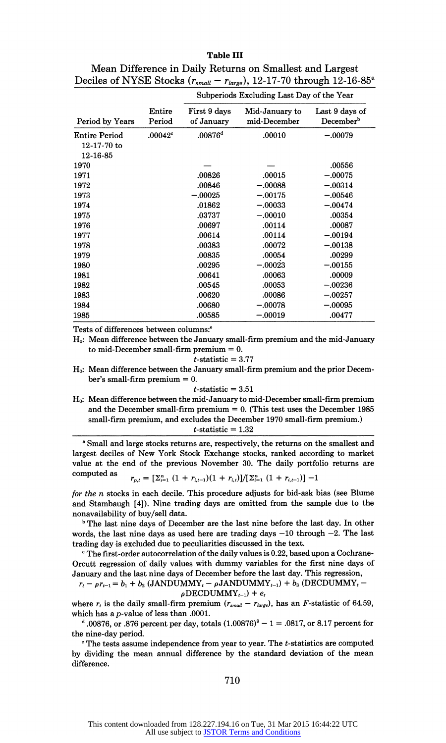#### **Table III**

|                                                 |                  | Subperiods Excluding Last Day of the Year |                                |                                         |  |
|-------------------------------------------------|------------------|-------------------------------------------|--------------------------------|-----------------------------------------|--|
| Period by Years                                 | Entire<br>Period | First 9 days<br>of January                | Mid-January to<br>mid-December | Last 9 days of<br>December <sup>b</sup> |  |
| <b>Entire Period</b><br>12-17-70 to<br>12-16-85 | $.00042^{\circ}$ | .00876 <sup>d</sup>                       | .00010                         | $-.00079$                               |  |
| 1970                                            |                  |                                           |                                | .00556                                  |  |
| 1971                                            |                  | .00826                                    | .00015                         | $-.00075$                               |  |
| 1972                                            |                  | .00846                                    | $-.00088$                      | $-.00314$                               |  |
| 1973                                            |                  | $-.00025$                                 | $-.00175$                      | $-.00546$                               |  |
| 1974                                            |                  | .01862                                    | $-.00033$                      | $-.00474$                               |  |
| 1975                                            |                  | .03737                                    | $-.00010$                      | .00354                                  |  |
| 1976                                            |                  | .00697                                    | .00114                         | .00087                                  |  |
| 1977                                            |                  | .00614                                    | .00114                         | $-.00194$                               |  |
| 1978                                            |                  | .00383                                    | .00072                         | $-.00138$                               |  |
| 1979                                            |                  | .00835                                    | .00054                         | .00299                                  |  |
| 1980                                            |                  | .00295                                    | $-.00023$                      | $-.00155$                               |  |
| 1981                                            |                  | .00641                                    | .00063                         | .00009                                  |  |
| 1982                                            |                  | .00545                                    | .00053                         | $-.00236$                               |  |
| 1983                                            |                  | .00620                                    | .00086                         | $-.00257$                               |  |
| 1984                                            |                  | .00680                                    | $-.00078$                      | $-.00095$                               |  |
| 1985                                            |                  | .00585                                    | $-.00019$                      | .00477                                  |  |

Mean Difference in Daily Returns on Smallest and Largest Deciles of NYSE Stocks  $(r_{\text{small}} - r_{\text{large}})$ , 12-17-70 through 12-16-85<sup>a</sup>

Tests of differences between columns:<sup>e</sup>

**1986 OI QUIPTERCES DELWEER COLUMNS:**<br>II . Mean difference between the Lengther and Il finns returning and the mid Len **1980 . The Samuary Small-Time premium and the mid-da**<br>About Leavel Recent to small  $\mathcal{C}_{\text{max}}$  and  $\mathcal{C}_{\text{max}}$  . to mid-December small-firm premium  $= 0$ .

$$
t\text{-statistic} = 3.77
$$

**1982 .00545 .00053 -.00236 1**<sub>0</sub>. We an unterence between the January small-firm premium and the prior D **1987 1986 1987 1986 1986 1986 1986 1986 1986 1986 1986 1986 1986 1986 1996 1996 1996 1996 1996 1996 1996 1996 1996 1996 1996 1996 1996 1996 1996 1996 1996 199** 

H<sub>0</sub>: Mean difference between the mid-January to mid-December small-firm premium and the December small-firm premium  $= 0$ . (This test uses the December 1985 small-firm premium, and excludes the December 1970 small-firm premium.)  $t$ -statistic =  $1.32$ 

<sup>a</sup> Small and large stocks returns are, respectively, the returns on the smallest and Small and large stocks returns are, respectively, the returns on the smallest and<br>home decides of New York Staak Finskapes, staaks, assumed according to market **best deciles of New York Stock**<br>exist the small of the magnitude value at the end of the previous November 30. The daily portfolio returns are **computed as**  $r_{p,t} = \left[\sum_{i=1}^{n} (1 + r_{i,t-1})(1 + r_{i,t})\right] / \left[\sum_{i=1}^{n} (1 + r_{i,t-1})\right] - 1$ 

for the n stocks in each decile. This procedure adjusts for bid-ask bias (see Blume **Solution state** in each decide. This procedure adjusts for bid-ask bias (see Drum).<br>Obtailed the Life of the Life of December 2007 in the life of the sample due to the the grad of the statistic series of the statistic series in the statistic series in the statistic series of the <br>the statistic series of the statistic series of the statistic series of the statistic series of the statistic

**b** The last nine days of December are the last nine before the last day. In other words, the last nine days as used here are trading days -10 through -2. The last trading day is excluded due to peculiarities discussed in the text.

<sup>c</sup> The first-order autocorrelation of the daily values is 0.22, based upon a Cochrane-Orcutt regression of daily values with dummy variables for the first nine days of January and the last nine days of December before the last day. This regression,

 $r_t - \rho r_{t-1} = b_1 + b_2$  (JANDUMMY<sub>t</sub> –  $\rho$ JANDUMMY<sub>t-1</sub>) +  $b_3$  (DECDUMMY<sub>t</sub> – **nonavailability of buy/sell data.** 

**bDECDUMMY**<sub> $t-1$ </sub>) +  $e_t$ <br>where  $r_t$  is the daily small-firm premium  $(r_{small} - r_{large})$ , has an *F*-statistic of 64.59, which has a *p*-value of less than .0001.

<sup>d</sup> 0.0876, or 0.876 percent per day, totals  $(1.00876)^9 - 1 = 0.0817$ , **c** The first-order and  $\frac{1}{2}$  is 0.22, based upon a Cochrane-

the nine-day period.<br><sup>"</sup> The tests assume independence from year to year. The *t*-statistics are computed by dividing the mean annual difference by the standard deviation of the mean **reference. b** 

**where rt is the daily small-firm premium (rs1,al-riarge), has an F-statistic of 64.59,**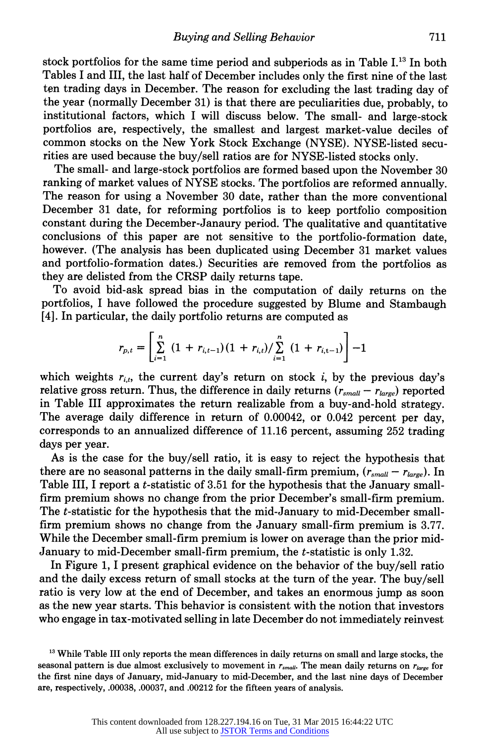**stock portfolios for the same time period and subperiods as in Table <sup>[13</sup>] In both Tables I and III, the last half of December includes only the first nine of the last ten trading days in December. The reason for excluding the last trading day of the year (normally December 31) is that there are peculiarities due, probably, to institutional factors, which I will discuss below. The small- and large-stock portfolios are, respectively, the smallest and largest market-value deciles of common stocks on the New York Stock Exchange (NYSE). NYSE-listed securities are used because the buy/sell ratios are for NYSE-listed stocks only.** 

**The small- and large-stock portfolios are formed based upon the November 30 ranking of market values of NYSE stocks. The portfolios are reformed annually. The reason for using a November 30 date, rather than the more conventional December 31 date, for reforming portfolios is to keep portfolio composition constant during the December-Janaury period. The qualitative and quantitative conclusions of this paper are not sensitive to the portfolio-formation date, however. (The analysis has been duplicated using December 31 market values and portfolio-formation dates.) Securities are removed from the portfolios as they are delisted from the CRSP daily returns tape.** 

**To avoid bid-ask spread bias in the computation of daily returns on the portfolios, I have followed the procedure suggested by Blume and Stambaugh [4]. In particular, the daily portfolio returns are computed as** 

$$
r_{p,t} = \left[ \sum_{i=1}^{n} (1 + r_{i,t-1})(1 + r_{i,t}) / \sum_{i=1}^{n} (1 + r_{i,t-1}) \right] - 1
$$

which weights  $r_{i,t}$ , the current day's return on stock i, by the previous day's relative gross return. Thus, the difference in daily returns  $(r_{small} - r_{large})$  reported **in Table III approximates the return realizable from a buy-and-hold strategy. The average daily difference in return of 0.00042, or 0.042 percent per day, corresponds to an annualized difference of 11.16 percent, assuming 252 trading days per year.** 

**As is the case for the buy/sell ratio, it is easy to reject the hypothesis that there are no seasonal patterns in the daily small-firm premium,**  $(r_{small} - r_{large})$ **. In Table III, I report a t-statistic of 3.51 for the hypothesis that the January smallfirm premium shows no change from the prior December's small-firm premium. The t-statistic for the hypothesis that the mid-January to mid-December smallfirm premium shows no change from the January small-firm premium is 3.77. While the December small-firm premium is lower on average than the prior mid-January to mid-December small-firm premium, the t-statistic is only 1.32.** 

**In Figure 1, I present graphical evidence on the behavior of the buy/sell ratio and the daily excess return of small stocks at the turn of the year. The buy/sell ratio is very low at the end of December, and takes an enormous jump as soon as the new year starts. This behavior is consistent with the notion that investors who engage in tax-motivated selling in late December do not immediately reinvest** 

**<sup>13</sup>While Table III only reports the mean differences in daily returns on small and large stocks, the**  seasonal pattern is due almost exclusively to movement in  $r_{small}$ . The mean daily returns on  $r_{large}$  for **the first nine days of January, mid-January to mid-December, and the last nine days of December are, respectively, .00038, .00037, and .00212 for the fifteen years of analysis.**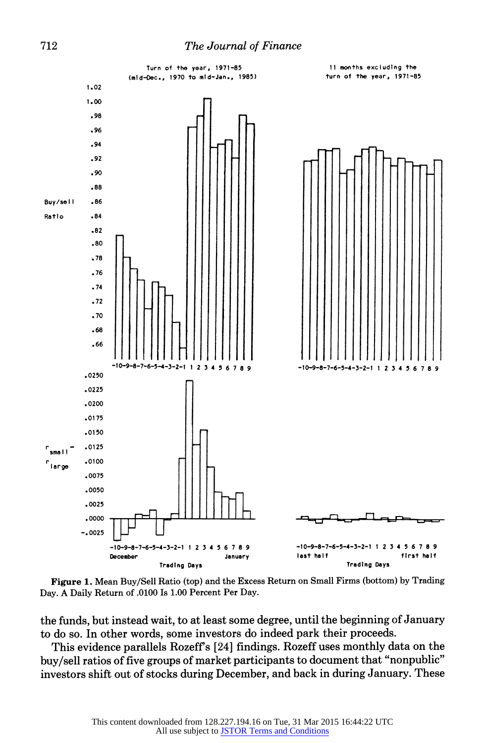

**Figure 1. Mean Buy/Sell Ratio (top) and the Excess Return on Small Firms (bottom) by Trading Day. A Daily Return of .0100 Is 1.00 Percent Per Day.** 

**the funds, but instead wait, to at least some degree, until the beginning of January to do so. In other words, some investors do indeed park their proceeds.** 

**This evidence parallels Rozeff's [24] findings. Rozeff uses monthly data on the buy/sell ratios of five groups of market participants to document that "nonpublic" investors shift out of stocks during December, and back in during January. These**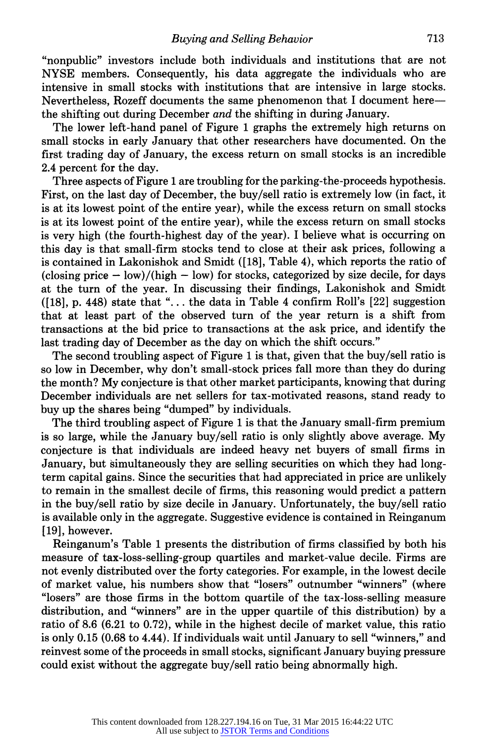**"nonpublic" investors include both individuals and institutions that are not NYSE members. Consequently, his data aggregate the individuals who are intensive in small stocks with institutions that are intensive in large stocks. Nevertheless, Rozeff documents the same phenomenon that I document herethe shifting out during December and the shifting in during January.** 

**The lower left-hand panel of Figure 1 graphs the extremely high returns on small stocks in early January that other researchers have documented. On the first trading day of January, the excess return on small stocks is an incredible 2.4 percent for the day.** 

**Three aspects of Figure 1 are troubling for the parking-the-proceeds hypothesis. First, on the last day of December, the buy/sell ratio is extremely low (in fact, it is at its lowest point of the entire year), while the excess return on small stocks is at its lowest point of the entire year), while the excess return on small stocks is very high (the fourth-highest day of the year). I believe what is occurring on this day is that small-firm stocks tend to close at their ask prices, following a is contained in Lakonishok and Smidt ([18], Table 4), which reports the ratio of (closing price -low)/(high - low) for stocks, categorized by size decile, for days at the turn of the year. In discussing their findings, Lakonishok and Smidt ([18], p. 448) state that "... the data in Table 4 confirm Roll's [22] suggestion that at least part of the observed turn of the year return is a shift from transactions at the bid price to transactions at the ask price, and identify the last trading day of December as the day on which the shift occurs."** 

**The second troubling aspect of Figure 1 is that, given that the buy/sell ratio is so low in December, why don't small-stock prices fall more than they do during the month? My conjecture is that other market participants, knowing that during December individuals are net sellers for tax-motivated reasons, stand ready to buy up the shares being "dumped" by individuals.** 

**The third troubling aspect of Figure 1 is that the January small-firm premium is so large, while the January buy/sell ratio is only slightly above average. My conjecture is that individuals are indeed heavy net buyers of small firms in January, but simultaneously they are selling securities on which they had longterm capital gains. Since the securities that had appreciated in price are unlikely to remain in the smallest decile of firms, this reasoning would predict a pattern in the buy/sell ratio by size decile in January. Unfortunately, the buy/sell ratio is available only in the aggregate. Suggestive evidence is contained in Reinganum [19], however.** 

**Reinganum's Table 1 presents the distribution of firms classified by both his**  measure of tax-loss-selling-group quartiles and market-value decile. Firms are **not evenly distributed over the forty categories. For example, in the lowest decile of market value, his numbers show that "losers" outnumber "winners" (where "losers" are those firms in the bottom quartile of the tax-loss-selling measure distribution, and "winners" are in the upper quartile of this distribution) by a ratio of 8.6 (6.21 to 0.72), while in the highest decile of market value, this ratio is only 0.15 (0.68 to 4.44). If individuals wait until January to sell "winners," and reinvest some of the proceeds in small stocks, significant January buying pressure could exist without the aggregate buy/sell ratio being abnormally high.**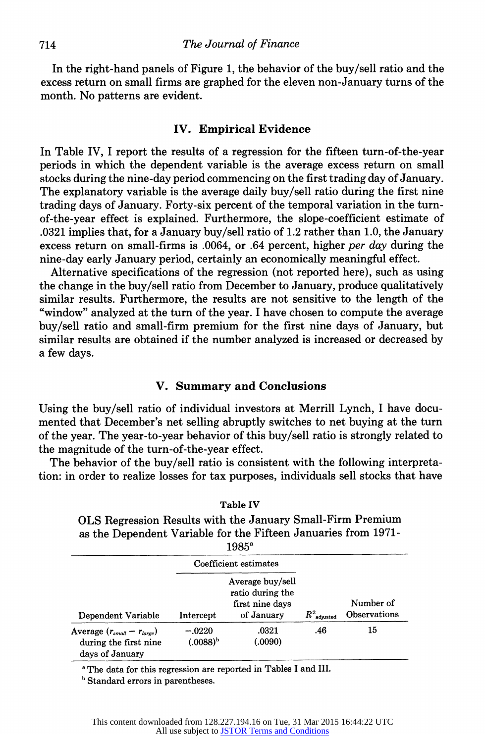**In the right-hand panels of Figure 1, the behavior of the buy/sell ratio and the excess return on small firms are graphed for the eleven non-January turns of the month. No patterns are evident.** 

#### **IV. Empirical Evidence**

**In Table IV, I report the results of a regression for the fifteen turn-of-the-year periods in which the dependent variable is the average excess return on small stocks during the nine-day period commencing on the first trading day of January. The explanatory variable is the average daily buy/sell ratio during the first nine trading days of January. Forty-six percent of the temporal variation in the turnof-the-year effect is explained. Furthermore, the slope-coefficient estimate of .0321 implies that, for a January buy/sell ratio of 1.2 rather than 1.0, the January excess return on small-firms is .0064, or .64 percent, higher per day during the nine-day early January period, certainly an economically meaningful effect.** 

**Alternative specifications of the regression (not reported here), such as using the change in the buy/sell ratio from December to January, produce qualitatively similar results. Furthermore, the results are not sensitive to the length of the "window" analyzed at the turn of the year. I have chosen to compute the average buy/sell ratio and small-firm premium for the first nine days of January, but similar results are obtained if the number analyzed is increased or decreased by a few days.** 

#### **V. Summary and Conclusions**

**Using the buy/sell ratio of individual investors at Merrill Lynch, I have documented that December's net selling abruptly switches to net buying at the turn of the year. The year-to-year behavior of this buy/sell ratio is strongly related to the magnitude of the turn-of-the-year effect.** 

**The behavior of the buy/sell ratio is consistent with the following interpretation: in order to realize losses for tax purposes, individuals sell stocks that have** 

**Table IV OLS Regression Results with the January Small-Firm Premium as the Dependent Variable for the Fifteen Januaries from 1971-** 

|                                                                             |                           | $1985^{\circ}$                                                        |                           |                                  |  |
|-----------------------------------------------------------------------------|---------------------------|-----------------------------------------------------------------------|---------------------------|----------------------------------|--|
|                                                                             | Coefficient estimates     |                                                                       |                           |                                  |  |
| Dependent Variable                                                          | Intercept                 | Average buy/sell<br>ratio during the<br>first nine days<br>of January | $R^2$ <sub>adjusted</sub> | Number of<br><b>Observations</b> |  |
| Average $(r_{small}-r_{large})$<br>during the first nine<br>days of January | $-.0220$<br>$(.0088)^{b}$ | .0321<br>(.0090)                                                      | .46                       | 15                               |  |

**<sup>a</sup>The data for this regression are reported in Tables I and III. <sup>b</sup>Standard errors in parentheses.**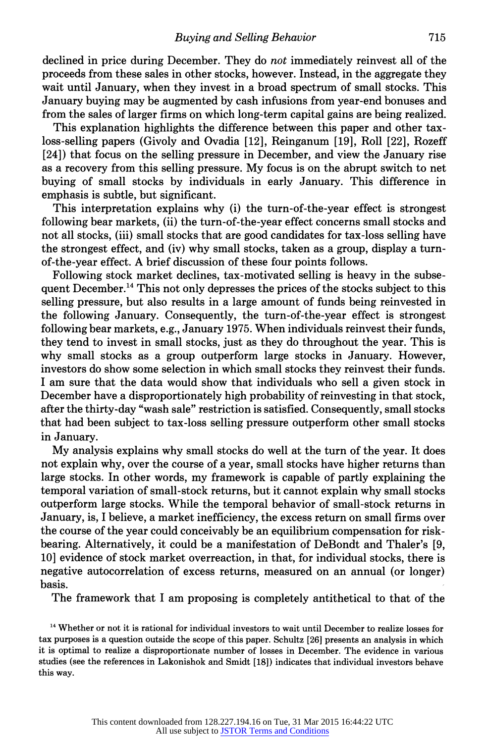**declined in price during December. They do not immediately reinvest all of the proceeds from these sales in other stocks, however. Instead, in the aggregate they wait until January, when they invest in a broad spectrum of small stocks. This January buying may be augmented by cash infusions from year-end bonuses and from the sales of larger firms on which long-term capital gains are being realized.** 

**This explanation highlights the difference between this paper and other taxloss-selling papers (Givoly and Ovadia [12], Reinganum [19], Roll [22], Rozeff [24]) that focus on the selling pressure in December, and view the January rise as a recovery from this selling pressure. My focus is on the abrupt switch to net buying of small stocks by individuals in early January. This difference in emphasis is subtle, but significant.** 

**This interpretation explains why (i) the turn-of-the-year effect is strongest following bear markets, (ii) the turn-of-the-year effect concerns small stocks and not all stocks, (iii) small stocks that are good candidates for tax-loss selling have the strongest effect, and (iv) why small stocks, taken as a group, display a turnof-the-year effect. A brief discussion of these four points follows.** 

**Following stock market declines, tax-motivated selling is heavy in the subsequent December.14 This not only depresses the prices of the stocks subject to this selling pressure, but also results in a large amount of funds being reinvested in the following January. Consequently, the turn-of-the-year effect is strongest following bear markets, e.g., January 1975. When individuals reinvest their funds, they tend to invest in small stocks, just as they do throughout the year. This is why small stocks as a group outperform large stocks in January. However, investors do show some selection in which small stocks they reinvest their funds. I am sure that the data would show that individuals who sell a given stock in December have a disproportionately high probability of reinvesting in that stock, after the thirty-day "wash sale" restriction is satisfied. Consequently, small stocks that had been subject to tax-loss selling pressure outperform other small stocks in January.** 

**My analysis explains why small stocks do well at the turn of the year. It does not explain why, over the course of a year, small stocks have higher returns than large stocks. In other words, my framework is capable of partly explaining the temporal variation of small-stock returns, but it cannot explain why small stocks outperform large stocks. While the temporal behavior of small-stock returns in January, is, I believe, a market inefficiency, the excess return on small firms over the course of the year could conceivably be an equilibrium compensation for riskbearing. Alternatively, it could be a manifestation of DeBondt and Thaler's [9, 10] evidence of stock market overreaction, in that, for individual stocks, there is negative autocorrelation of excess returns, measured on an annual (or longer) basis.** 

**The framework that I am proposing is completely antithetical to that of the** 

**<sup>14</sup>Whether or not it is rational for individual investors to wait until December to realize losses for tax purposes is a question outside the scope of this paper. Schultz [26] presents an analysis in which it is optimal to realize a disproportionate number of losses in December. The evidence in various studies (see the references in Lakonishok and Smidt [18]) indicates that individual investors behave this way.**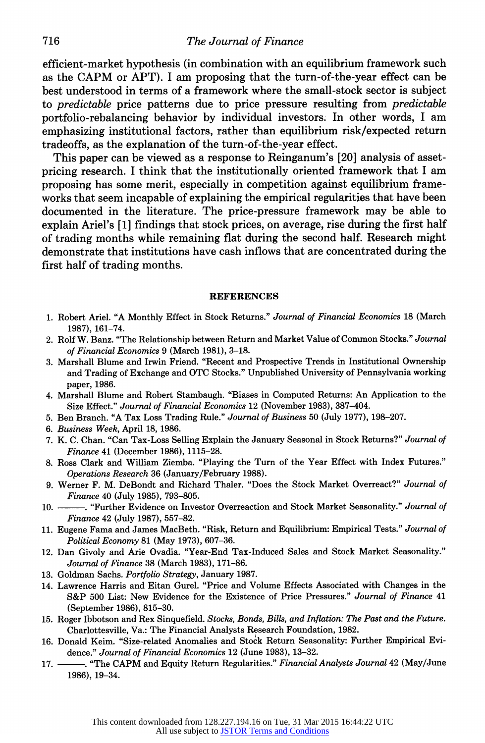**efficient-market hypothesis (in combination with an equilibrium framework such as the CAPM or APT). I am proposing that the turn-of-the-year effect can be best understood in terms of a framework where the small-stock sector is subject to predictable price patterns due to price pressure resulting from predictable portfolio-rebalancing behavior by individual investors. In other words, I am emphasizing institutional factors, rather than equilibrium risk/expected return tradeoffs, as the explanation of the turn-of-the-year effect.** 

**This paper can be viewed as a response to Reinganum's [20] analysis of assetpricing research. I think that the institutionally oriented framework that I am proposing has some merit, especially in competition against equilibrium frameworks that seem incapable of explaining the empirical regularities that have been documented in the literature. The price-pressure framework may be able to explain Ariel's [1] findings that stock prices, on average, rise during the first half of trading months while remaining flat during the second half. Research might demonstrate that institutions have cash inflows that are concentrated during the first half of trading months.** 

#### **REFERENCES**

- **1. Robert Ariel. "A Monthly Effect in Stock Returns." Journal of Financial Economics 18 (March 1987), 161-74.**
- **2. Rolf W. Banz. "The Relationship between Return and Market Value of Common Stocks." Journal of Financial Economics 9 (March 1981), 3-18.**
- **3. Marshall Blume and Irwin Friend. "Recent and Prospective Trends in Institutional Ownership and Trading of Exchange and OTC Stocks." Unpublished University of Pennsylvania working paper, 1986.**
- **4. Marshall Blume and Robert Stambaugh. "Biases in Computed Returns: An Application to the Size Effect." Journal of Financial Economics 12 (November 1983), 387-404.**
- **5. Ben Branch. "A Tax Loss Trading Rule." Journal of Business 50 (July 1977), 198-207.**
- **6. Business Week, April 18, 1986.**
- **7. K. C. Chan. "Can Tax-Loss Selling Explain the January Seasonal in Stock Returns?" Journal of Finance 41 (December 1986), 1115-28.**
- **8. Ross Clark and William Ziemba. "Playing the Turn of the Year Effect with Index Futures." Operations Research 36 (January/February 1988).**
- **9. Werner F. M. DeBondt and Richard Thaler. "Does the Stock Market Overreact?" Journal of Finance 40 (July 1985), 793-805.**
- **10. . "Further Evidence on Investor Overreaction and Stock Market Seasonality." Journal of Finance 42 (July 1987), 557-82.**
- **11. Eugene Fama and James MacBeth. "Risk, Return and Equilibrium: Empirical Tests." Journal of Political Economy 81 (May 1973), 607-36.**
- **12. Dan Givoly and Arie Ovadia. "Year-End Tax-Induced Sales and Stock Market Seasonality." Journal of Finance 38 (March 1983), 171-86.**
- **13. Goldman Sachs. Portfolio Strategy, January 1987.**
- **14. Lawrence Harris and Eitan Gurel. "Price and Volume Effects Associated with Changes in the S&P 500 List: New Evidence for the Existence of Price Pressures." Journal of Finance 41 (September 1986), 815-30.**
- **15. Roger Ibbotson and Rex Sinquefield. Stocks, Bonds, Bills, and Inflation: The Past and the Future. Charlottesville, Va.: The Financial Analysts Research Foundation, 1982.**
- **16. Donald Keim. "Size-related Anomalies and Stock Return Seasonality: Further Empirical Evidence." Journal of Financial Economics 12 (June 1983), 13-32.**
- **17. . "The CAPM and Equity Return Regularities." Financial Analysts Journal 42 (May/June 1986), 19-34.**